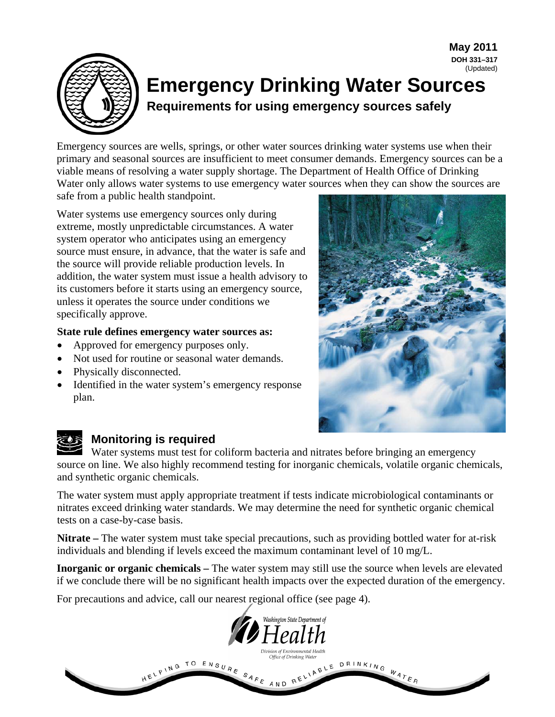

# **DOH 331–317** (Updated) **Emergency Drinking Water Sources Requirements for using emergency sources safely**

Emergency sources are wells, springs, or other water sources drinking water systems use when their primary and seasonal sources are insufficient to meet consumer demands. Emergency sources can be a viable means of resolving a water supply shortage. The Department of Health Office of Drinking Water only allows water systems to use emergency water sources when they can show the sources are safe from a public health standpoint.

Water systems use emergency sources only during extreme, mostly unpredictable circumstances. A water system operator who anticipates using an emergency source must ensure, in advance, that the water is safe and the source will provide reliable production levels. In addition, the water system must issue a health advisory to its customers before it starts using an emergency source, unless it operates the source under conditions we specifically approve.

#### **State rule defines emergency water sources as:**

- Approved for emergency purposes only.
- Not used for routine or seasonal water demands.
- Physically disconnected.
- Identified in the water system's emergency response plan.



**May 2011**



# **Monitoring is required**

Water systems must test for coliform bacteria and nitrates before bringing an emergency source on line. We also highly recommend testing for inorganic chemicals, volatile organic chemicals, and synthetic organic chemicals.

The water system must apply appropriate treatment if tests indicate microbiological contaminants or nitrates exceed drinking water standards. We may determine the need for synthetic organic chemical tests on a case-by-case basis.

**Nitrate –** The water system must take special precautions, such as providing bottled water for at-risk individuals and blending if levels exceed the maximum contaminant level of 10 mg/L.

**Inorganic or organic chemicals –** The water system may still use the source when levels are elevated if we conclude there will be no significant health impacts over the expected duration of the emergency.

For precautions and advice, call our nearest regional office (see page 4).

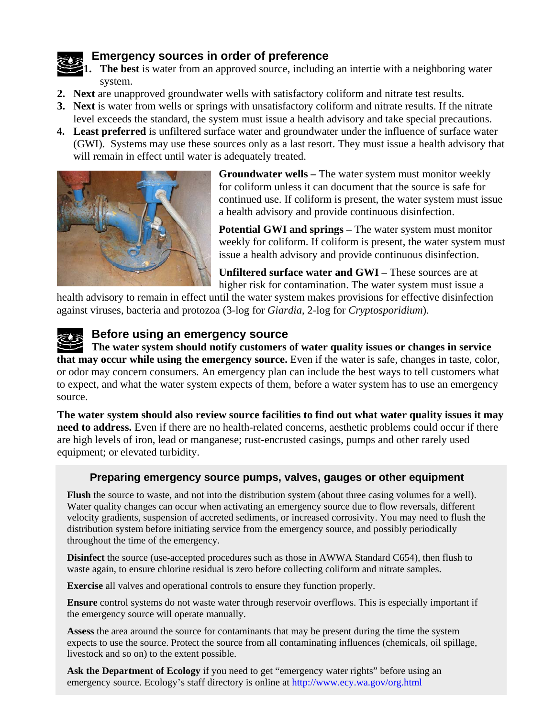### **Emergency sources in order of preference**

**1. The best** is water from an approved source, including an intertie with a neighboring water system.

- **2. Next** are unapproved groundwater wells with satisfactory coliform and nitrate test results.
- **3. Next** is water from wells or springs with unsatisfactory coliform and nitrate results. If the nitrate level exceeds the standard, the system must issue a health advisory and take special precautions.
- **4. Least preferred** is unfiltered surface water and groundwater under the influence of surface water (GWI). Systems may use these sources only as a last resort. They must issue a health advisory that will remain in effect until water is adequately treated.



**Groundwater wells –** The water system must monitor weekly for coliform unless it can document that the source is safe for continued use. If coliform is present, the water system must issue a health advisory and provide continuous disinfection.

**Potential GWI and springs –** The water system must monitor weekly for coliform. If coliform is present, the water system must issue a health advisory and provide continuous disinfection.

**Unfiltered surface water and GWI –** These sources are at higher risk for contamination. The water system must issue a

health advisory to remain in effect until the water system makes provisions for effective disinfection against viruses, bacteria and protozoa (3-log for *Giardia*, 2-log for *Cryptosporidium*).

# **Before using an emergency source**

**The water system should notify customers of water quality issues or changes in service that may occur while using the emergency source.** Even if the water is safe, changes in taste, color, or odor may concern consumers. An emergency plan can include the best ways to tell customers what to expect, and what the water system expects of them, before a water system has to use an emergency source.

**The water system should also review source facilities to find out what water quality issues it may need to address.** Even if there are no health-related concerns, aesthetic problems could occur if there are high levels of iron, lead or manganese; rust-encrusted casings, pumps and other rarely used equipment; or elevated turbidity.

#### **Preparing emergency source pumps, valves, gauges or other equipment**

**Flush** the source to waste, and not into the distribution system (about three casing volumes for a well). Water quality changes can occur when activating an emergency source due to flow reversals, different velocity gradients, suspension of accreted sediments, or increased corrosivity. You may need to flush the distribution system before initiating service from the emergency source, and possibly periodically throughout the time of the emergency.

**Disinfect** the source (use-accepted procedures such as those in AWWA Standard C654), then flush to waste again, to ensure chlorine residual is zero before collecting coliform and nitrate samples.

**Exercise** all valves and operational controls to ensure they function properly.

**Ensure** control systems do not waste water through reservoir overflows. This is especially important if the emergency source will operate manually.

**Assess** the area around the source for contaminants that may be present during the time the system expects to use the source. Protect the source from all contaminating influences (chemicals, oil spillage, livestock and so on) to the extent possible.

**Ask the Department of Ecology** if you need to get "emergency water rights" before using an emergency source. Ecology's staff directory is online at http://www.ecy.wa.gov/org.html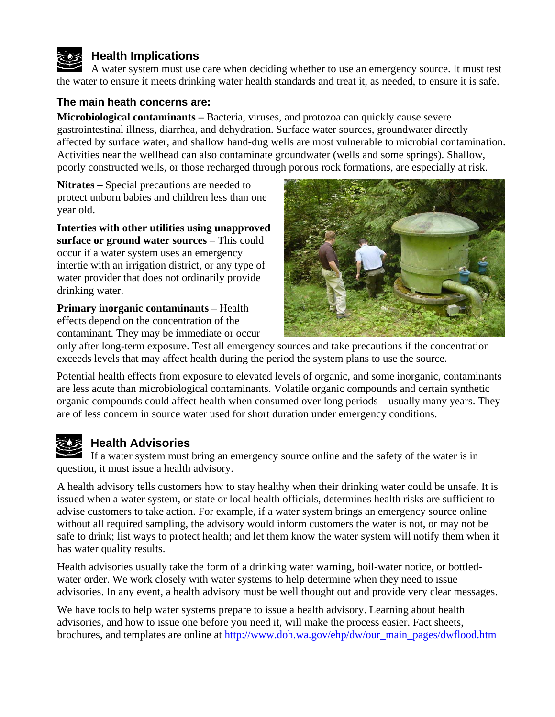

# **Health Implications**

A water system must use care when deciding whether to use an emergency source. It must test the water to ensure it meets drinking water health standards and treat it, as needed, to ensure it is safe.

#### **The main heath concerns are:**

**Microbiological contaminants –** Bacteria, viruses, and protozoa can quickly cause severe gastrointestinal illness, diarrhea, and dehydration. Surface water sources, groundwater directly affected by surface water, and shallow hand-dug wells are most vulnerable to microbial contamination. Activities near the wellhead can also contaminate groundwater (wells and some springs). Shallow, poorly constructed wells, or those recharged through porous rock formations, are especially at risk.

**Nitrates –** Special precautions are needed to protect unborn babies and children less than one year old.

**Interties with other utilities using unapproved surface or ground water sources** – This could occur if a water system uses an emergency intertie with an irrigation district, or any type of water provider that does not ordinarily provide drinking water.

**Primary inorganic contaminants** – Health effects depend on the concentration of the contaminant. They may be immediate or occur



only after long-term exposure. Test all emergency sources and take precautions if the concentration exceeds levels that may affect health during the period the system plans to use the source.

Potential health effects from exposure to elevated levels of organic, and some inorganic, contaminants are less acute than microbiological contaminants. Volatile organic compounds and certain synthetic organic compounds could affect health when consumed over long periods – usually many years. They are of less concern in source water used for short duration under emergency conditions.

# **Health Advisories**

If a water system must bring an emergency source online and the safety of the water is in question, it must issue a health advisory.

A health advisory tells customers how to stay healthy when their drinking water could be unsafe. It is issued when a water system, or state or local health officials, determines health risks are sufficient to advise customers to take action. For example, if a water system brings an emergency source online without all required sampling, the advisory would inform customers the water is not, or may not be safe to drink; list ways to protect health; and let them know the water system will notify them when it has water quality results.

Health advisories usually take the form of a drinking water warning, boil-water notice, or bottledwater order. We work closely with water systems to help determine when they need to issue advisories. In any event, a health advisory must be well thought out and provide very clear messages.

We have tools to help water systems prepare to issue a health advisory. Learning about health advisories, and how to issue one before you need it, will make the process easier. Fact sheets, brochures, and templates are online at [http://www.doh.wa.gov/ehp/dw/our\\_main\\_pages/dwflood.htm](http://www.doh.wa.gov/ehp/dw/our_main_pages/dwflood.htm)